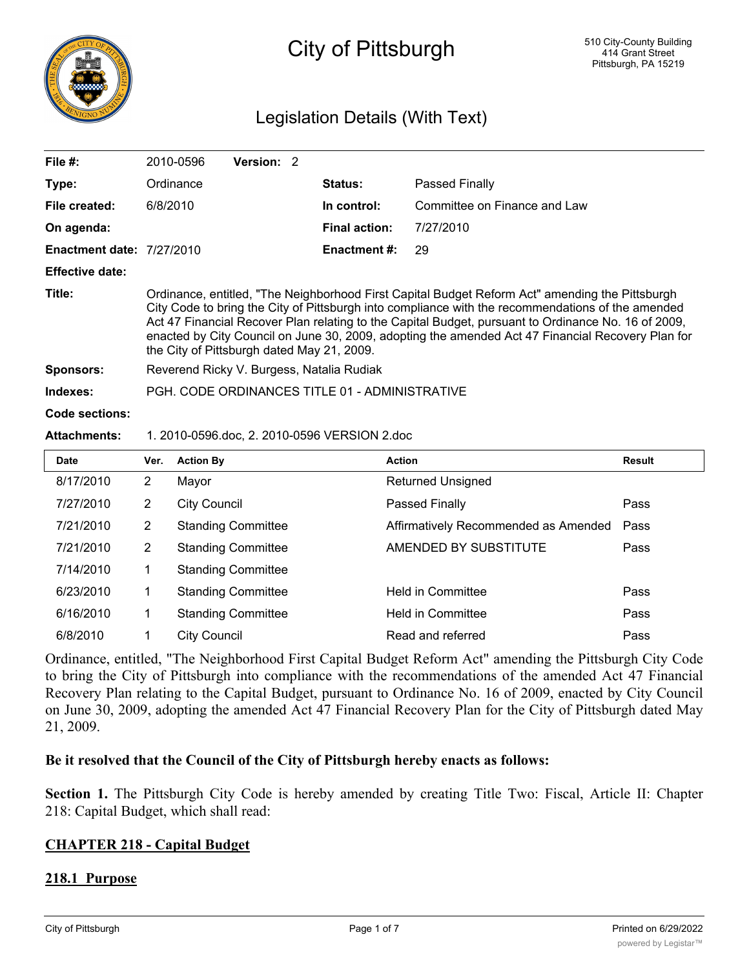

# City of Pittsburgh

## Legislation Details (With Text)

| File #:                                                             |                                                                                                                                                                                                                                                                                                                                                                                                                                                                | 2010-0596<br>Version: 2   |                      |                                      |        |
|---------------------------------------------------------------------|----------------------------------------------------------------------------------------------------------------------------------------------------------------------------------------------------------------------------------------------------------------------------------------------------------------------------------------------------------------------------------------------------------------------------------------------------------------|---------------------------|----------------------|--------------------------------------|--------|
| Type:                                                               |                                                                                                                                                                                                                                                                                                                                                                                                                                                                | Ordinance                 | Status:              | Passed Finally                       |        |
| File created:                                                       | 6/8/2010                                                                                                                                                                                                                                                                                                                                                                                                                                                       |                           | In control:          | Committee on Finance and Law         |        |
| On agenda:                                                          |                                                                                                                                                                                                                                                                                                                                                                                                                                                                |                           | <b>Final action:</b> | 7/27/2010                            |        |
| <b>Enactment date: 7/27/2010</b>                                    |                                                                                                                                                                                                                                                                                                                                                                                                                                                                |                           | <b>Enactment #:</b>  | 29                                   |        |
| <b>Effective date:</b>                                              |                                                                                                                                                                                                                                                                                                                                                                                                                                                                |                           |                      |                                      |        |
| Title:                                                              | Ordinance, entitled, "The Neighborhood First Capital Budget Reform Act" amending the Pittsburgh<br>City Code to bring the City of Pittsburgh into compliance with the recommendations of the amended<br>Act 47 Financial Recover Plan relating to the Capital Budget, pursuant to Ordinance No. 16 of 2009,<br>enacted by City Council on June 30, 2009, adopting the amended Act 47 Financial Recovery Plan for<br>the City of Pittsburgh dated May 21, 2009. |                           |                      |                                      |        |
| <b>Sponsors:</b>                                                    | Reverend Ricky V. Burgess, Natalia Rudiak                                                                                                                                                                                                                                                                                                                                                                                                                      |                           |                      |                                      |        |
| Indexes:                                                            | PGH, CODE ORDINANCES TITLE 01 - ADMINISTRATIVE                                                                                                                                                                                                                                                                                                                                                                                                                 |                           |                      |                                      |        |
| Code sections:                                                      |                                                                                                                                                                                                                                                                                                                                                                                                                                                                |                           |                      |                                      |        |
| 1. 2010-0596.doc, 2. 2010-0596 VERSION 2.doc<br><b>Attachments:</b> |                                                                                                                                                                                                                                                                                                                                                                                                                                                                |                           |                      |                                      |        |
| <b>Date</b>                                                         | Ver.                                                                                                                                                                                                                                                                                                                                                                                                                                                           | <b>Action By</b>          | <b>Action</b>        |                                      | Result |
| 8/17/2010                                                           | $\overline{2}$                                                                                                                                                                                                                                                                                                                                                                                                                                                 | Mayor                     |                      | <b>Returned Unsigned</b>             |        |
| 7/27/2010                                                           | $\overline{2}$                                                                                                                                                                                                                                                                                                                                                                                                                                                 | <b>City Council</b>       |                      | Passed Finally                       | Pass   |
| 7/21/2010                                                           | $\overline{2}$                                                                                                                                                                                                                                                                                                                                                                                                                                                 | <b>Standing Committee</b> |                      | Affirmatively Recommended as Amended | Pass   |
| 7/21/2010                                                           | $\overline{2}$                                                                                                                                                                                                                                                                                                                                                                                                                                                 | <b>Standing Committee</b> |                      | AMENDED BY SUBSTITUTE                | Pass   |
| 7/14/2010                                                           | 1                                                                                                                                                                                                                                                                                                                                                                                                                                                              | <b>Standing Committee</b> |                      |                                      |        |
| 6/23/2010                                                           | $\mathbf 1$                                                                                                                                                                                                                                                                                                                                                                                                                                                    | <b>Standing Committee</b> |                      | <b>Held in Committee</b>             | Pass   |
| 6/16/2010                                                           | 1                                                                                                                                                                                                                                                                                                                                                                                                                                                              | <b>Standing Committee</b> |                      | <b>Held in Committee</b>             | Pass   |
| 6/8/2010                                                            | 1                                                                                                                                                                                                                                                                                                                                                                                                                                                              | City Council              |                      | Read and referred                    | Pass   |

Ordinance, entitled, "The Neighborhood First Capital Budget Reform Act" amending the Pittsburgh City Code to bring the City of Pittsburgh into compliance with the recommendations of the amended Act 47 Financial Recovery Plan relating to the Capital Budget, pursuant to Ordinance No. 16 of 2009, enacted by City Council on June 30, 2009, adopting the amended Act 47 Financial Recovery Plan for the City of Pittsburgh dated May 21, 2009.

#### **Be it resolved that the Council of the City of Pittsburgh hereby enacts as follows:**

**Section 1.** The Pittsburgh City Code is hereby amended by creating Title Two: Fiscal, Article II: Chapter 218: Capital Budget, which shall read:

#### **CHAPTER 218 - Capital Budget**

#### **218.1 Purpose**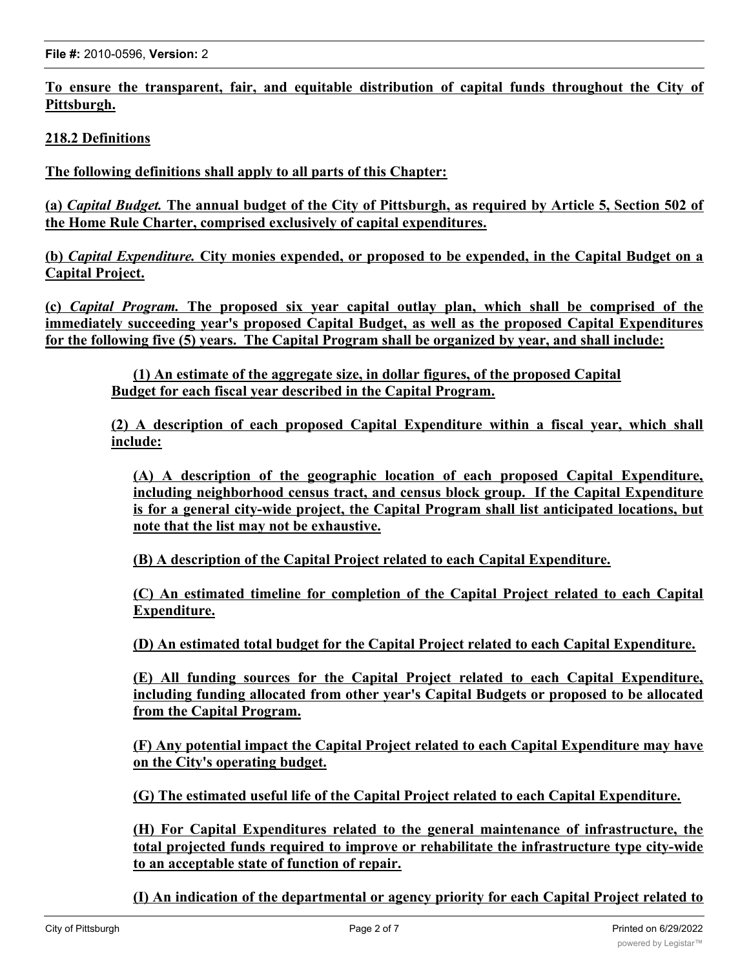**To ensure the transparent, fair, and equitable distribution of capital funds throughout the City of Pittsburgh.**

**218.2 Definitions**

**The following definitions shall apply to all parts of this Chapter:**

(a) *Capital Budget*. The annual budget of the City of Pittsburgh, as required by Article 5, Section 502 of **the Home Rule Charter, comprised exclusively of capital expenditures.**

**(b)** *Capital Expenditure.* **City monies expended, or proposed to be expended, in the Capital Budget on a Capital Project.**

**(c)** *Capital Program.* **The proposed six year capital outlay plan, which shall be comprised of the immediately succeeding year's proposed Capital Budget, as well as the proposed Capital Expenditures for the following five (5) years. The Capital Program shall be organized by year, and shall include:**

**(1) An estimate of the aggregate size, in dollar figures, of the proposed Capital Budget for each fiscal year described in the Capital Program.**

**(2) A description of each proposed Capital Expenditure within a fiscal year, which shall include:**

**(A) A description of the geographic location of each proposed Capital Expenditure, including neighborhood census tract, and census block group. If the Capital Expenditure is for a general city-wide project, the Capital Program shall list anticipated locations, but note that the list may not be exhaustive.**

**(B) A description of the Capital Project related to each Capital Expenditure.**

**(C) An estimated timeline for completion of the Capital Project related to each Capital Expenditure.**

**(D) An estimated total budget for the Capital Project related to each Capital Expenditure.**

**(E) All funding sources for the Capital Project related to each Capital Expenditure, including funding allocated from other year's Capital Budgets or proposed to be allocated from the Capital Program.**

**(F) Any potential impact the Capital Project related to each Capital Expenditure may have on the City's operating budget.**

**(G) The estimated useful life of the Capital Project related to each Capital Expenditure.**

**(H) For Capital Expenditures related to the general maintenance of infrastructure, the total projected funds required to improve or rehabilitate the infrastructure type city-wide to an acceptable state of function of repair.**

**(I) An indication of the departmental or agency priority for each Capital Project related to a Capital Expenditure. A uniform system for indicating priority shall be designed by the**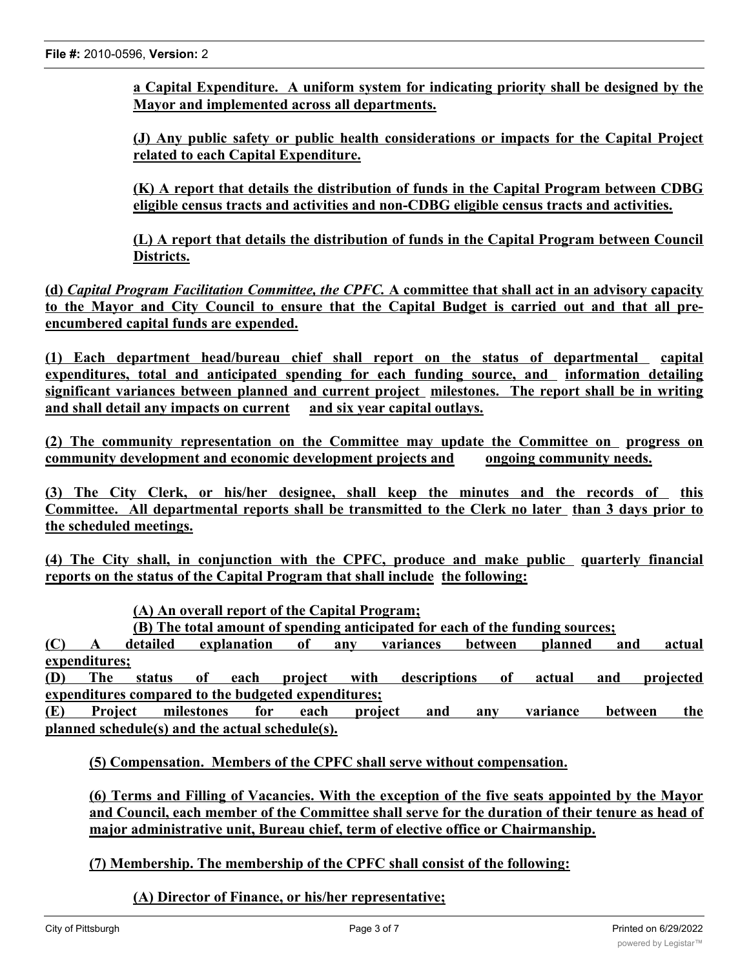**a Capital Expenditure. A uniform system for indicating priority shall be designed by the Mayor and implemented across all departments.**

**(J) Any public safety or public health considerations or impacts for the Capital Project related to each Capital Expenditure.**

**(K) A report that details the distribution of funds in the Capital Program between CDBG eligible census tracts and activities and non-CDBG eligible census tracts and activities.**

**(L) A report that details the distribution of funds in the Capital Program between Council Districts.**

**(d)** *Capital Program Facilitation Committee, the CPFC.* **A committee that shall act in an advisory capacity** to the Mayor and City Council to ensure that the Capital Budget is carried out and that all pre**encumbered capital funds are expended.**

**(1) Each department head/bureau chief shall report on the status of departmental capital expenditures, total and anticipated spending for each funding source, and information detailing significant variances between planned and current project milestones. The report shall be in writing and shall detail any impacts on current and six year capital outlays.**

**(2) The community representation on the Committee may update the Committee on progress on community development and economic development projects and ongoing community needs.**

**(3) The City Clerk, or his/her designee, shall keep the minutes and the records of this Committee. All departmental reports shall be transmitted to the Clerk no later than 3 days prior to the scheduled meetings.**

**(4) The City shall, in conjunction with the CPFC, produce and make public quarterly financial reports on the status of the Capital Program that shall include the following:**

**(A) An overall report of the Capital Program;**

**(B) The total amount of spending anticipated for each of the funding sources;**

**(C) A detailed explanation of any variances between planned and actual expenditures;**

**(D) The status of each project with descriptions of actual and projected expenditures compared to the budgeted expenditures;**

**(E) Project milestones for each project and any variance between the planned schedule(s) and the actual schedule(s).**

**(5) Compensation. Members of the CPFC shall serve without compensation.**

**(6) Terms and Filling of Vacancies. With the exception of the five seats appointed by the Mayor and Council, each member of the Committee shall serve for the duration of their tenure as head of major administrative unit, Bureau chief, term of elective office or Chairmanship.**

#### **(7) Membership. The membership of the CPFC shall consist of the following:**

**(A) Director of Finance, or his/her representative;**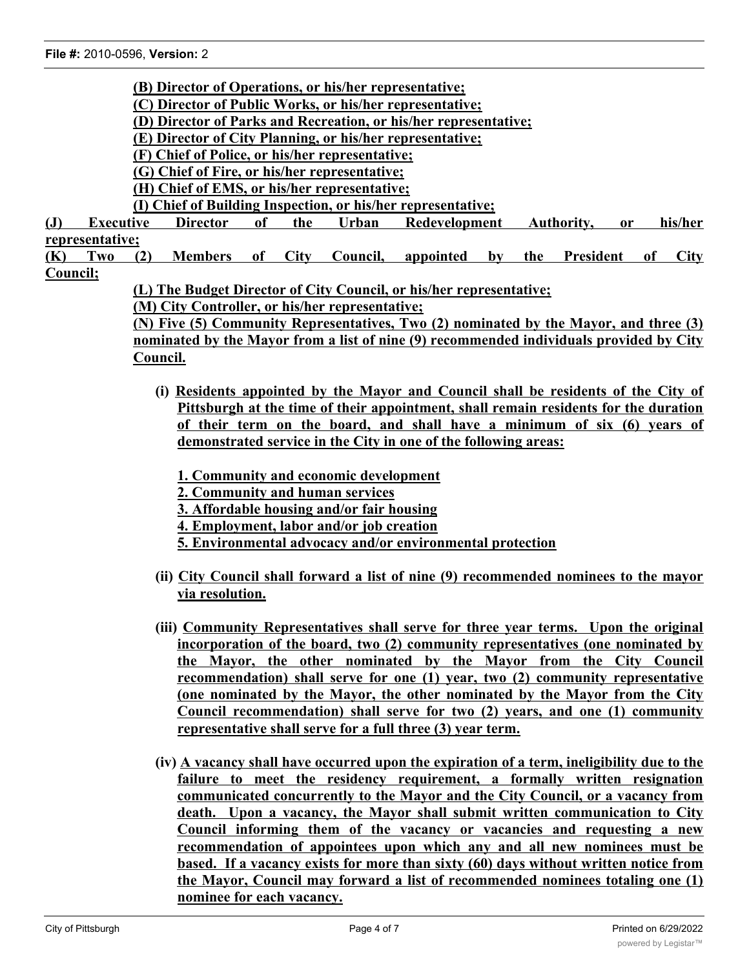- **(B) Director of Operations, or his/her representative;**
- **(C) Director of Public Works, or his/her representative;**
- **(D) Director of Parks and Recreation, or his/her representative;**
- **(E) Director of City Planning, or his/her representative;**
- **(F) Chief of Police, or his/her representative;**
- **(G) Chief of Fire, or his/her representative;**
- **(H) Chief of EMS, or his/her representative;**
- **(I) Chief of Building Inspection, or his/her representative;**
- **(J) Executive Director of the Urban Redevelopment Authority, or his/her representative;**
- **(K) Two (2) Members of City Council, appointed by the President of City Council;**
	- **(L) The Budget Director of City Council, or his/her representative;**
	- **(M) City Controller, or his/her representative;**

**(N) Five (5) Community Representatives, Two (2) nominated by the Mayor, and three (3) nominated by the Mayor from a list of nine (9) recommended individuals provided by City Council.**

- **(i) Residents appointed by the Mayor and Council shall be residents of the City of Pittsburgh at the time of their appointment, shall remain residents for the duration of their term on the board, and shall have a minimum of six (6) years of demonstrated service in the City in one of the following areas:**
	- **1. Community and economic development**
	- **2. Community and human services**
	- **3. Affordable housing and/or fair housing**
	- **4. Employment, labor and/or job creation**
	- **5. Environmental advocacy and/or environmental protection**
- **(ii) City Council shall forward a list of nine (9) recommended nominees to the mayor via resolution.**
- **(iii) Community Representatives shall serve for three year terms. Upon the original incorporation of the board, two (2) community representatives (one nominated by the Mayor, the other nominated by the Mayor from the City Council recommendation) shall serve for one (1) year, two (2) community representative (one nominated by the Mayor, the other nominated by the Mayor from the City Council recommendation) shall serve for two (2) years, and one (1) community representative shall serve for a full three (3) year term.**
- **(iv) A vacancy shall have occurred upon the expiration of a term, ineligibility due to the failure to meet the residency requirement, a formally written resignation communicated concurrently to the Mayor and the City Council, or a vacancy from death. Upon a vacancy, the Mayor shall submit written communication to City Council informing them of the vacancy or vacancies and requesting a new recommendation of appointees upon which any and all new nominees must be based. If a vacancy exists for more than sixty (60) days without written notice from the Mayor, Council may forward a list of recommended nominees totaling one (1) nominee for each vacancy.**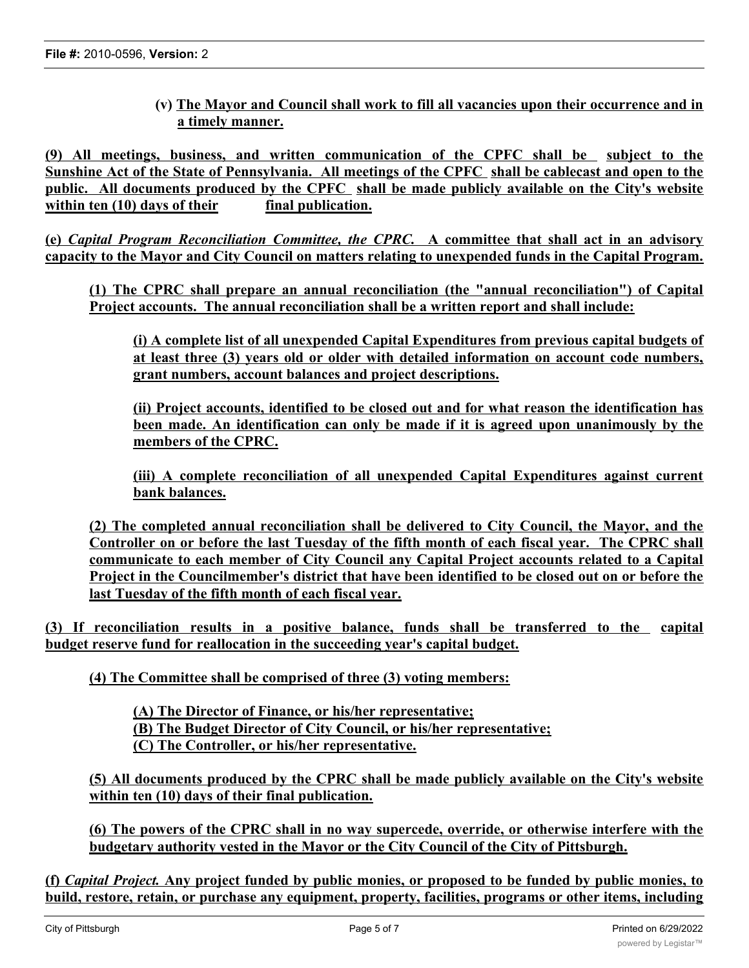**(v) The Mayor and Council shall work to fill all vacancies upon their occurrence and in a timely manner.**

**(9) All meetings, business, and written communication of the CPFC shall be subject to the** Sunshine Act of the State of Pennsylvania. All meetings of the CPFC shall be cablecast and open to the **public. All documents produced by the CPFC shall be made publicly available on the City's website within ten (10) days of their final publication.**

**(e)** *Capital Program Reconciliation Committee, the CPRC.* **A committee that shall act in an advisory capacity to the Mayor and City Council on matters relating to unexpended funds in the Capital Program.**

**(1) The CPRC shall prepare an annual reconciliation (the "annual reconciliation") of Capital Project accounts. The annual reconciliation shall be a written report and shall include:**

**(i) A complete list of all unexpended Capital Expenditures from previous capital budgets of at least three (3) years old or older with detailed information on account code numbers, grant numbers, account balances and project descriptions.**

**(ii) Project accounts, identified to be closed out and for what reason the identification has been made. An identification can only be made if it is agreed upon unanimously by the members of the CPRC.**

**(iii) A complete reconciliation of all unexpended Capital Expenditures against current bank balances.**

**(2) The completed annual reconciliation shall be delivered to City Council, the Mayor, and the Controller on or before the last Tuesday of the fifth month of each fiscal year. The CPRC shall communicate to each member of City Council any Capital Project accounts related to a Capital Project in the Councilmember's district that have been identified to be closed out on or before the last Tuesday of the fifth month of each fiscal year.**

**(3) If reconciliation results in a positive balance, funds shall be transferred to the capital budget reserve fund for reallocation in the succeeding year's capital budget.**

**(4) The Committee shall be comprised of three (3) voting members:**

**(A) The Director of Finance, or his/her representative; (B) The Budget Director of City Council, or his/her representative; (C) The Controller, or his/her representative.**

**(5) All documents produced by the CPRC shall be made publicly available on the City's website within ten (10) days of their final publication.**

**(6) The powers of the CPRC shall in no way supercede, override, or otherwise interfere with the budgetary authority vested in the Mayor or the City Council of the City of Pittsburgh.**

(f) *Capital Project*. Any project funded by public monies, or proposed to be funded by public monies, to **build, restore, retain, or purchase any equipment, property, facilities, programs or other items, including**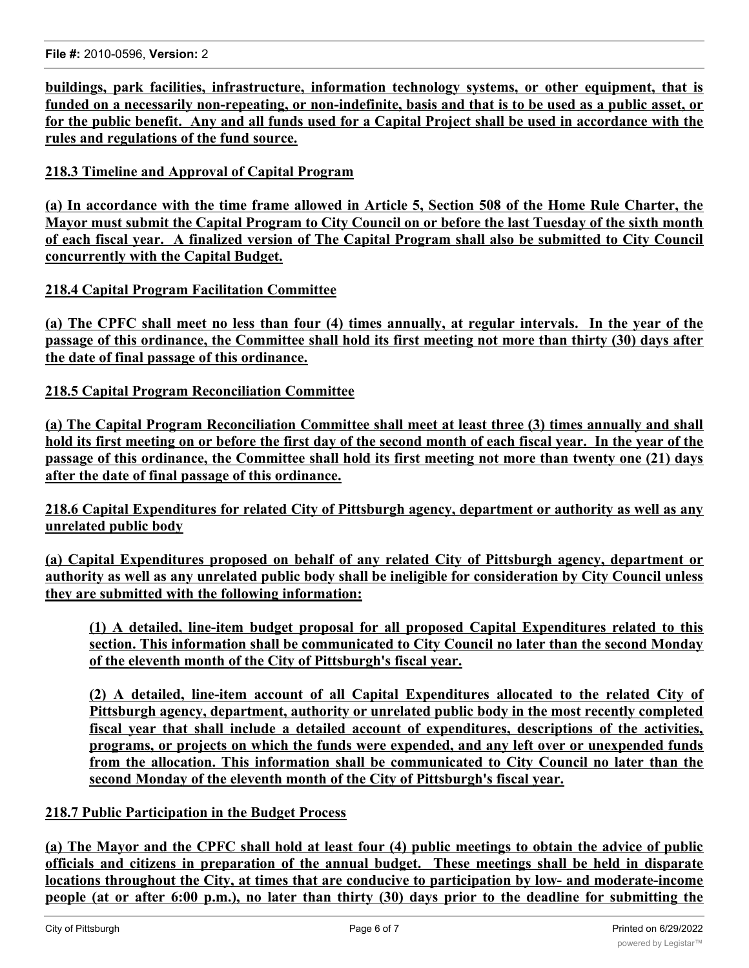**buildings, park facilities, infrastructure, information technology systems, or other equipment, that is** funded on a necessarily non-repeating, or non-indefinite, basis and that is to be used as a public asset, or for the public benefit. Any and all funds used for a Capital Project shall be used in accordance with the **rules and regulations of the fund source.**

### **218.3 Timeline and Approval of Capital Program**

(a) In accordance with the time frame allowed in Article 5, Section 508 of the Home Rule Charter, the Mayor must submit the Capital Program to City Council on or before the last Tuesday of the sixth month of each fiscal year. A finalized version of The Capital Program shall also be submitted to City Council **concurrently with the Capital Budget.**

#### **218.4 Capital Program Facilitation Committee**

(a) The CPFC shall meet no less than four (4) times annually, at regular intervals. In the year of the passage of this ordinance, the Committee shall hold its first meeting not more than thirty (30) days after **the date of final passage of this ordinance.**

#### **218.5 Capital Program Reconciliation Committee**

**(a) The Capital Program Reconciliation Committee shall meet at least three (3) times annually and shall** hold its first meeting on or before the first day of the second month of each fiscal year. In the year of the passage of this ordinance, the Committee shall hold its first meeting not more than twenty one (21) days **after the date of final passage of this ordinance.**

**218.6 Capital Expenditures for related City of Pittsburgh agency, department or authority as well as any unrelated public body**

**(a) Capital Expenditures proposed on behalf of any related City of Pittsburgh agency, department or** authority as well as any unrelated public body shall be ineligible for consideration by City Council unless **they are submitted with the following information:**

**(1) A detailed, line-item budget proposal for all proposed Capital Expenditures related to this section. This information shall be communicated to City Council no later than the second Monday of the eleventh month of the City of Pittsburgh's fiscal year.**

**(2) A detailed, line-item account of all Capital Expenditures allocated to the related City of Pittsburgh agency, department, authority or unrelated public body in the most recently completed fiscal year that shall include a detailed account of expenditures, descriptions of the activities, programs, or projects on which the funds were expended, and any left over or unexpended funds from the allocation. This information shall be communicated to City Council no later than the second Monday of the eleventh month of the City of Pittsburgh's fiscal year.**

#### **218.7 Public Participation in the Budget Process**

(a) The Mayor and the CPFC shall hold at least four (4) public meetings to obtain the advice of public **officials and citizens in preparation of the annual budget. These meetings shall be held in disparate locations throughout the City, at times that are conducive to participation by low- and moderate-income** people (at or after 6:00 p.m.), no later than thirty (30) days prior to the deadline for submitting the